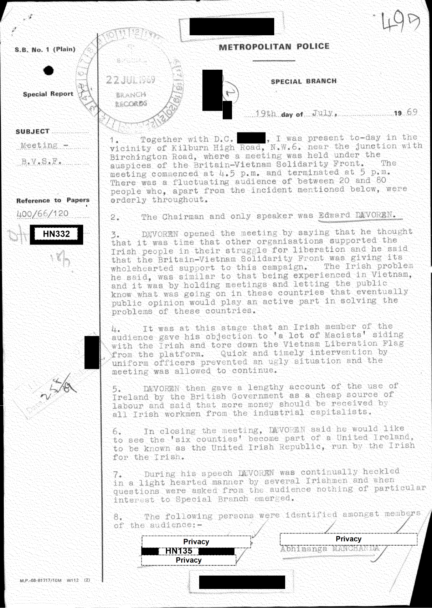S.B. No. 1 (Plain)

**Special Report** 

22 JUL 369

**BRANCH RECORDS** 

**SUBJECT External SUBJECT**  $M$ eeting  $\ldots$ 

de v. S. E. . . . . . . .

Reference to Papers 400/66/120

**HN332** 

**METROPOLITAN POLICE** 

SPECIAL BRANCH

 $19th$  day of July,  $19.69$ 

Together with D.C. , I was present to-day in the 4. vicinity of Kilburn High Road, N.W.6. near the junction with Birchington Road, where a meeting was held under the auspices of the Britain-Vietnam Solidarity Front. The meeting commenced at 4.5 p.m. and terminated at 5 p.m. There was a fluctuating audience of between 20 and 80 people who, apart from the incident mentioned below, were orderly throughout.

The Chairman and only speaker was Edward DEVOREN.  $2.$ 

DEVOREN opened the meeting by saying that he thought 3. that it was time that other organisations supported the Irish people in their struggle for liberation and he said that the Britain-Vietnam Solidarity Front was giving its wholehearted support to this campaign. The Irish problem he said, was similar to that being experienced in Vietnam, and it was by holding meetings and letting the public know what was going on in these countries that eventually public opinion would play an active part in solving the problems of these countries.

It was at this stage that an Irish member of the  $u_{\ast}$ audience gave his objection to 'a lot of Macists' siding with the Irish and tore down the Vietnam Liberation Flag from the platform. Quick and timely intervention by uniform officers prevented an ugly situation and the meeting was allowed to continue.

DEVOREN then gave a lengthy account of the use of Ireland by the British Government as a cheap source of labour and said that more money should be received by all Irish workmen from the industrial capitalists.

In closing the meeting, DEVOEEN said he would like 6. to see the 'six counties' become part of a United Ireland. to be known as the United Irish Republic, run by the Irish for the Irish.

During his speech DEVOREN was continually heckled 7. in a light hearted manner by several Irishmen and when questions were asked from the audience nothing of particular interest to Special Branch emerged.

The following persons were identified amongst members of the audience:-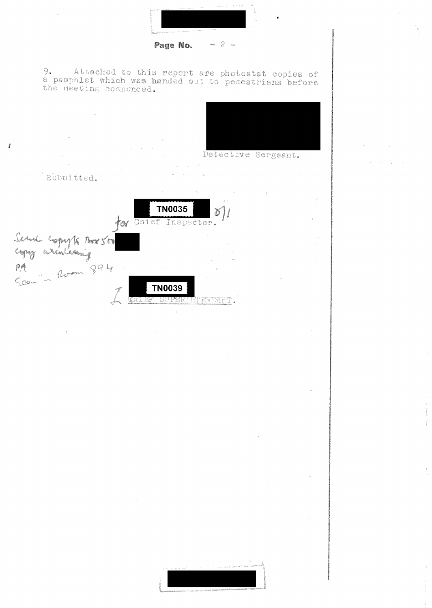

Page No.  $-2-$ 

 $\tilde{R}^{(1)}$  and  $\tilde{R}^{(2)}$ 



Detective Sergeant.

Submitted.

 $\bar{\pmb{\xi}}$